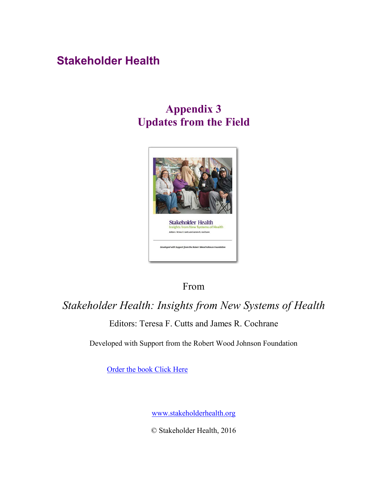# **Stakeholder Health**

## **Appendix 3 Updates from the Field**



### From

# *Stakeholder Health: Insights from New Systems of Health* Editors: Teresa F. Cutts and James R. Cochrane

Developed with Support from the Robert Wood Johnson Foundation

Order the [book Click Here](https://www.amazon.com/Stakeholder-Health-Insights-New-Systems/dp/069270728X?ie=UTF8&keywords=%26%2334%3Bstakeholder%20health%26%2334%3B&qid=1464881294&ref_=sr_1_2&s=books&sr=1-2)

[www.stakeholderhealth.org](http://www.stakeholderhealth.org/)

© Stakeholder Health, 2016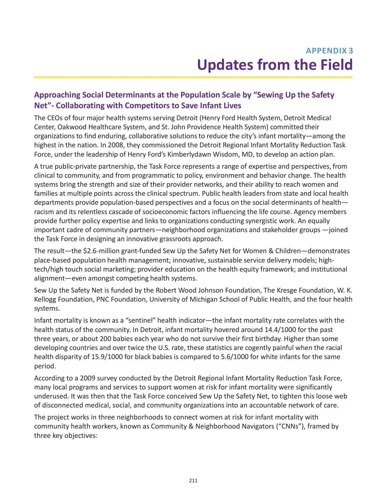#### **Approaching Social Determinants at the Population Scale by "Sewing Up the Safety Net"- Collaborating with Competitors to Save Infant Lives**

The CEOs of four major health systems serving Detroit (Henry Ford Health System, Detroit Medical Center, Oakwood Healthcare System, and St. John Providence Health System) committed their organizations to find enduring, collaborative solutionsto reduce the city's infant mortality—among the highest in the nation. In 2008, they commissioned the Detroit Regional Infant Mortality Reduction Task Force, under the leadership of Henry Ford's Kimberlydawn Wisdom, MD, to develop an action plan.

A true public-private partnership, the Task Force represents a range of expertise and perspectives, from clinical to community, and from programmatic to policy, environment and behavior change. The health systems bring the strength and size of their provider networks, and their ability to reach women and families at multiple points across the clinical spectrum. Public health leaders from state and local health departments provide population-based perspectives and a focus on the social determinants of health racism and its relentless cascade of socioeconomic factors influencing the life course. Agency members provide further policy expertise and links to organizations conducting synergistic work. An equally important cadre of community partners—neighborhood organizations and stakeholder groups —joined the Task Force in designing an innovative grassroots approach.

The result—the \$2.6-million grant-funded Sew Up the Safety Net for Women & Children—demonstrates place-based population health management; innovative, sustainable service delivery models; hightech/high touch social marketing; provider education on the health equity framework; and institutional alignment—even amongst competing health systems.

Sew Up the Safety Net is funded by the Robert Wood Johnson Foundation, The Kresge Foundation, W. K. Kellogg Foundation, PNC Foundation, University of Michigan School of Public Health, and the four health systems.

Infant mortality is known as a "sentinel" health indicator—the infant mortality rate correlates with the health status of the community. In Detroit, infant mortality hovered around 14.4/1000 for the past three years, or about 200 babies each year who do not survive their first birthday. Higher than some developing countries and over twice the U.S. rate, these statistics are cogently painful when the racial health disparity of 15.9/1000 for black babies is compared to 5.6/1000 for white infants for the same period.

According to a 2009 survey conducted by the Detroit Regional Infant Mortality Reduction Task Force, many local programs and services to support women at risk for infant mortality were significantly underused. It was then that the Task Force conceived Sew Up the Safety Net, to tighten this loose web of disconnected medical, social, and community organizations into an accountable network of care.

The project works in three neighborhoods to connect women at risk for infant mortality with community health workers, known as Community & Neighborhood Navigators ("CNNs"), framed by three key objectives: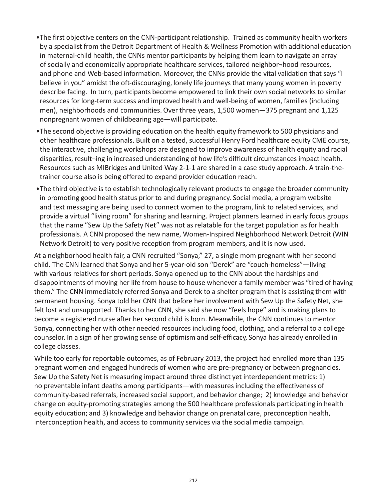- •The first objective centers on the CNN-participant relationship. Trained as community health workers by a specialist from the Detroit Department of Health & Wellness Promotion with additional education in maternal-child health, the CNNs mentor participants by helping them learn to navigate an array of socially and economically appropriate healthcare services, tailored neighbor¬hood resources, and phone and Web-based information. Moreover, the CNNs provide the vital validation that says "I believe in you" amidst the oft-discouraging, lonely life journeys that many young women in poverty describe facing. In turn, participants become empowered to link their own social networks to similar resources for long-term success and improved health and well-being of women, families (including men), neighborhoods and communities. Over three years, 1,500 women—375 pregnant and 1,125 nonpregnant women of childbearing age—will participate.
- •The second objective is providing education on the health equity framework to 500 physicians and other healthcare professionals. Built on a tested, successful Henry Ford healthcare equity CME course, the interactive, challenging workshops are designed to improve awareness of health equity and racial disparities, result¬ing in increased understanding of how life's difficult circumstances impact health. Resources such as MIBridges and United Way 2-1-1 are shared in a case study approach. A train-thetrainer course also is being offered to expand provider education reach.
- •The third objective is to establish technologically relevant products to engage the broader community in promoting good health status prior to and during pregnancy. Social media, a program website and text messaging are being used to connect women to the program, link to related services, and provide a virtual "living room" for sharing and learning. Project planners learned in early focus groups that the name "Sew Up the Safety Net" was not as relatable for the target population as for health professionals. A CNN proposed the new name, Women-Inspired Neighborhood Network Detroit (WIN Network Detroit) to very positive reception from program members, and it is now used.

At a neighborhood health fair, a CNN recruited "Sonya," 27, a single mom pregnant with her second child. The CNN learned that Sonya and her 5-year-old son "Derek" are "couch-homeless"—living with various relatives for short periods. Sonya opened up to the CNN about the hardships and disappointments of moving her life from house to house whenever a family member was "tired of having them." The CNN immediately referred Sonya and Derek to a shelter program that is assisting them with permanent housing. Sonya told her CNN that before her involvement with Sew Up the Safety Net, she felt lost and unsupported. Thanks to her CNN, she said she now "feels hope" and is making plans to become a registered nurse after her second child is born. Meanwhile, the CNN continues to mentor Sonya, connecting her with other needed resources including food, clothing, and a referral to a college counselor. In a sign of her growing sense of optimism and self-efficacy, Sonya has already enrolled in college classes.

While too early for reportable outcomes, as of February 2013, the project had enrolled more than 135 pregnant women and engaged hundreds of women who are pre-pregnancy or between pregnancies. Sew Up the Safety Net is measuring impact around three distinct yet interdependent metrics: 1) no preventable infant deaths among participants—with measures including the effectiveness of community-based referrals, increased social support, and behavior change; 2) knowledge and behavior change on equity-promoting strategies among the 500 healthcare professionals participating in health equity education; and 3) knowledge and behavior change on prenatal care, preconception health, interconception health, and access to community services via the social media campaign.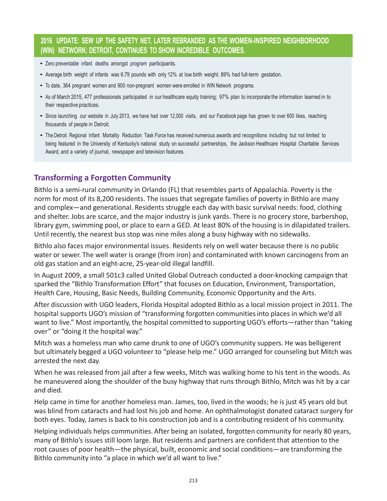#### **2016 UPDATE: SEW UP THE SAFETY NET, LATER REBRANDED AS THE WOMEN-INSPIRED NEIGHBORHOOD (WIN) NETWORK: DETROIT, CONTINUES TO SHOW INCREDIBLE OUTCOMES.**

- Zero preventable infant deaths amongst program participants.
- Average birth weight of infants was 6.79 pounds with only 12% at low birth weight. 89% had full-term gestation.
- To date, <sup>364</sup> pregnant women and <sup>900</sup> non-pregnant women were enrolled in WIN Network programs.
- As of March 2015, <sup>477</sup> professionals participated in our healthcare equity training; 97% plan to incorporate the information learned in to their respective practices.
- Since launching our website in July 2013, we have had over 12,000 visits, and our Facebook page has grown to over <sup>600</sup> likes, reaching thousands of people in Detroit.
- The Detroit Regional Infant Mortality Reduction Task Force has received numerous awards and recognitions including but not limited to being featured in the University of Kentucky's national study on successful partnerships, the Jackson Healthcare Hospital Charitable Services Award, and a variety of journal, newspaper and television features.

#### **Transforming a Forgotten Community**

Bithlo is a semi-rural community in Orlando (FL) that resembles parts of Appalachia. Poverty is the norm for most of its 8,200 residents. The issues that segregate families of poverty in Bithlo are many and complex—and generational. Residents struggle each day with basic survival needs: food, clothing and shelter. Jobs are scarce, and the major industry is junk yards. There is no grocery store, barbershop, library gym, swimming pool, or place to earn a GED. At least 80% of the housing is in dilapidated trailers. Until recently, the nearest bus stop was nine miles along a busy highway with no sidewalks.

Bithlo also faces major environmental issues. Residents rely on well water because there is no public water or sewer. The well water is orange (from iron) and contaminated with known carcinogens from an old gas station and an eight-acre, 25-year-old illegal landfill.

In August 2009, a small 501c3 called United Global Outreach conducted a door-knocking campaign that sparked the "Bithlo Transformation Effort" that focuses on Education, Environment, Transportation, Health Care, Housing, Basic Needs, Building Community, Economic Opportunity and the Arts.

After discussion with UGO leaders, Florida Hospital adopted Bithlo as a local mission project in 2011. The hospital supports UGO's mission of "transforming forgotten communities into places in which we'd all want to live." Most importantly, the hospital committed to supporting UGO's efforts—rather than "taking over" or "doing it the hospital way."

Mitch was a homeless man who came drunk to one of UGO's community suppers. He was belligerent but ultimately begged a UGO volunteer to "please help me." UGO arranged for counseling but Mitch was arrested the next day.

When he was released from jail after a few weeks, Mitch was walking home to his tent in the woods. As he maneuvered along the shoulder of the busy highway that runs through Bithlo, Mitch was hit by a car and died.

Help came in time for another homeless man. James, too, lived in the woods; he is just 45 years old but was blind from cataracts and had lost his job and home. An ophthalmologist donated cataract surgery for both eyes. Today, James is back to his construction job and is a contributing resident of his community.

Helping individuals helps communities. After being an isolated, forgotten community for nearly 80 years, many of Bithlo's issues still loom large. But residents and partners are confident that attention to the root causes of poor health—the physical, built, economic and social conditions—are transforming the Bithlo community into "a place in which we'd all want to live."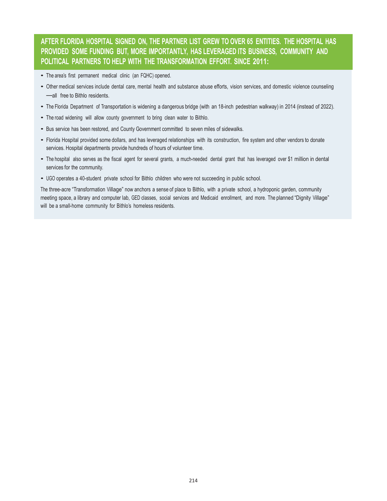#### **AFTER FLORIDA HOSPITAL SIGNED ON, THE PARTNER LIST GREW TO OVER 65 ENTITIES. THE HOSPITAL HAS PROVIDED SOME FUNDING BUT, MORE IMPORTANTLY, HAS LEVERAGED ITS BUSINESS, COMMUNITY AND POLITICAL PARTNERS TO HELP WITH THE TRANSFORMATION EFFORT. SINCE 2011:**

- The area's first permanent medical clinic (an FQHC) opened.
- Other medical services include dental care, mental health and substance abuse efforts, vision services, and domestic violence counseling —all free to Bithlo residents.
- The Florida Department of Transportation is widening <sup>a</sup> dangerous bridge (with an 18-inch pedestrian walkway) in <sup>2014</sup> (instead of 2022).
- The road widening will allow county government to bring clean water to Bithlo.
- Bus service has been restored, and County Government committed to seven miles of sidewalks.
- Florida Hospital provided some dollars, and has leveraged relationships with its construction, fire system and other vendors to donate services. Hospital departments provide hundreds of hours of volunteer time.
- The hospital also serves as the fiscal agent for several grants, a much-needed dental grant that has leveraged over \$1 million in dental services for the community.
- UGO operates <sup>a</sup> 40-student private school for Bithlo children who were not succeeding in public school.

The three-acre "Transformation Village" now anchors a sense of place to Bithlo, with a private school, a hydroponic garden, community meeting space, a library and computer lab, GED classes, social services and Medicaid enrollment, and more. The planned "Dignity Village" will be a small-home community for Bithlo's homeless residents.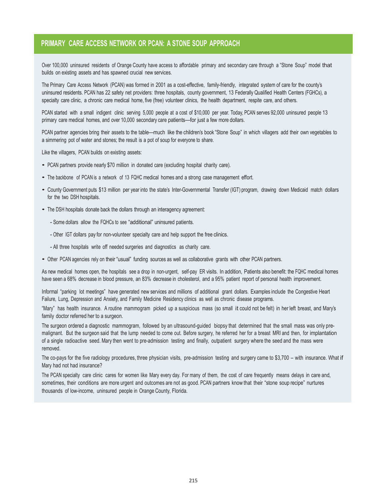#### **PRIMARY CARE ACCESS NETWORK OR PCAN: A STONE SOUP APPROACH**

Over 100,000 uninsured residents of Orange County have access to affordable primary and secondary care through a "Stone Soup" model that builds on existing assets and has spawned crucial new services.

The Primary Care Access Network (PCAN) was formed in 2001 as a cost-effective, family-friendly, integrated system of care for the county's uninsured residents. PCAN has 22 safety net providers: three hospitals, county government, 13 Federally Qualified Health Centers (FGHCs), a specialty care clinic, a chronic care medical home, five (free) volunteer clinics, the health department, respite care, and others.

PCAN started with a small indigent clinic serving 5,000 people at a cost of \$10,000 per year. Today, PCAN serves 92,000 uninsured people 13 primary care medical homes, and over 10,000 secondary care patients—for just a few more dollars.

PCAN partner agencies bring their assets to the table—much like the children's book "Stone Soup" in which villagers add their own vegetables to a simmering pot of water and stones; the result is a pot of soup for everyone to share.

Like the villagers, PCAN builds on existing assets:

- PCAN partners provide nearly \$70 million in donated care (excluding hospital charity care).
- The backbone of PCAN is <sup>a</sup> network of <sup>13</sup> FQHC medical homes and <sup>a</sup> strong case management effort.
- County Government puts \$13 million per year into the state's Inter-Governmental Transfer (IGT) program, drawing down Medicaid match dollars for the two DSH hospitals.
- The DSH hospitals donate back the dollars through an interagency agreement:
	- Some dollars allow the FQHCs to see "additional" uninsured patients.
	- Other IGT dollars pay for non-volunteer specialty care and help support the free clinics.
	- All three hospitals write off needed surgeries and diagnostics as charity care.
- Other PCAN agencies rely on their "usual" funding sources as well as collaborative grants with other PCAN partners.

As new medical homes open, the hospitals see a drop in non-urgent, self-pay ER visits. In addition, Patients also benefit: the FQHC medical homes have seen a 68% decrease in blood pressure, an 83% decrease in cholesterol, and a 95% patient report of personal health improvement.

Informal "parking lot meetings" have generated new services and millions of additional grant dollars. Examples include the Congestive Heart Failure, Lung, Depression and Anxiety, and Family Medicine Residency clinics as well as chronic disease programs.

"Mary" has health insurance. A routine mammogram picked up a suspicious mass (so small it could not be felt) in her left breast, and Mary's family doctor referred her to a surgeon.

The surgeon ordered a diagnostic mammogram, followed by an ultrasound-guided biopsy that determined that the small mass was only premalignant. But the surgeon said that the lump needed to come out. Before surgery, he referred her for a breast MRI and then, for implantation of a single radioactive seed. Mary then went to pre-admission testing and finally, outpatient surgery where the seed and the mass were removed.

The co-pays for the five radiology procedures, three physician visits, pre-admission testing and surgery came to \$3,700 – with insurance. What if Mary had not had insurance?

The PCAN specialty care clinic cares for women like Mary every day. For many of them, the cost of care frequently means delays in care and, sometimes, their conditions are more urgent and outcomes are not as good. PCAN partners know that their "stone soup recipe" nurtures thousands of low-income, uninsured people in Orange County, Florida.